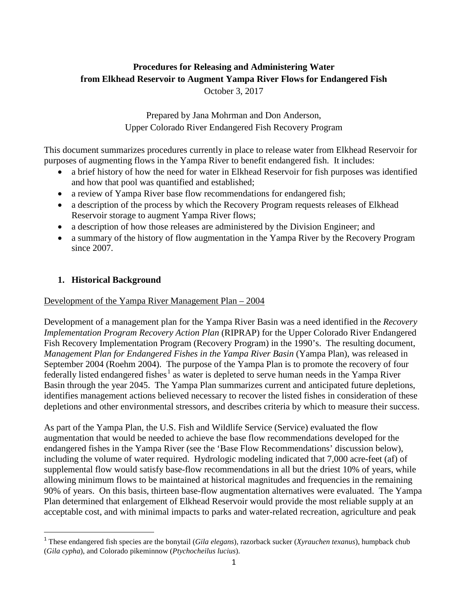## **Procedures for Releasing and Administering Water from Elkhead Reservoir to Augment Yampa River Flows for Endangered Fish**  October 3, 2017

Prepared by Jana Mohrman and Don Anderson, Upper Colorado River Endangered Fish Recovery Program

This document summarizes procedures currently in place to release water from Elkhead Reservoir for purposes of augmenting flows in the Yampa River to benefit endangered fish. It includes:

- a brief history of how the need for water in Elkhead Reservoir for fish purposes was identified and how that pool was quantified and established;
- a review of Yampa River base flow recommendations for endangered fish;
- a description of the process by which the Recovery Program requests releases of Elkhead Reservoir storage to augment Yampa River flows;
- a description of how those releases are administered by the Division Engineer; and
- a summary of the history of flow augmentation in the Yampa River by the Recovery Program since 2007.

## **1. Historical Background**

Development of the Yampa River Management Plan – 2004

Development of a management plan for the Yampa River Basin was a need identified in the *Recovery Implementation Program Recovery Action Plan* (RIPRAP) for the Upper Colorado River Endangered Fish Recovery Implementation Program (Recovery Program) in the 1990's. The resulting document, *Management Plan for Endangered Fishes in the Yampa River Basin* (Yampa Plan), was released in September 2004 (Roehm 2004). The purpose of the Yampa Plan is to promote the recovery of four federally listed endangered fishes<sup>[1](#page-0-0)</sup> as water is depleted to serve human needs in the Yampa River Basin through the year 2045. The Yampa Plan summarizes current and anticipated future depletions, identifies management actions believed necessary to recover the listed fishes in consideration of these depletions and other environmental stressors, and describes criteria by which to measure their success.

As part of the Yampa Plan, the U.S. Fish and Wildlife Service (Service) evaluated the flow augmentation that would be needed to achieve the base flow recommendations developed for the endangered fishes in the Yampa River (see the 'Base Flow Recommendations' discussion below), including the volume of water required. Hydrologic modeling indicated that 7,000 acre-feet (af) of supplemental flow would satisfy base-flow recommendations in all but the driest 10% of years, while allowing minimum flows to be maintained at historical magnitudes and frequencies in the remaining 90% of years. On this basis, thirteen base-flow augmentation alternatives were evaluated. The Yampa Plan determined that enlargement of Elkhead Reservoir would provide the most reliable supply at an acceptable cost, and with minimal impacts to parks and water-related recreation, agriculture and peak

<span id="page-0-0"></span> <sup>1</sup> These endangered fish species are the bonytail (*Gila elegans*), razorback sucker (*Xyrauchen texanus*), humpback chub (*Gila cypha*), and Colorado pikeminnow (*Ptychocheilus lucius*).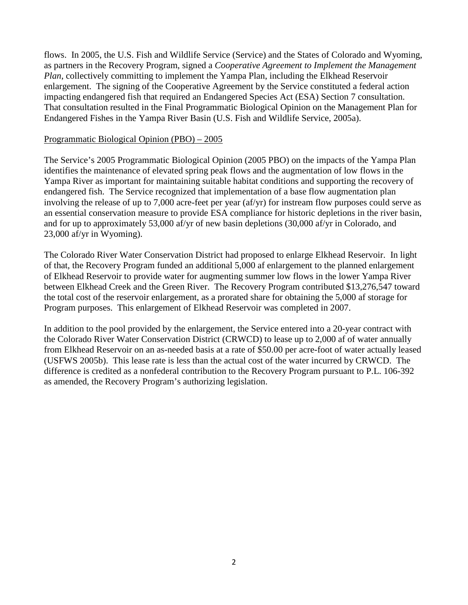flows. In 2005, the U.S. Fish and Wildlife Service (Service) and the States of Colorado and Wyoming, as partners in the Recovery Program, signed a *Cooperative Agreement to Implement the Management Plan*, collectively committing to implement the Yampa Plan, including the Elkhead Reservoir enlargement. The signing of the Cooperative Agreement by the Service constituted a federal action impacting endangered fish that required an Endangered Species Act (ESA) Section 7 consultation. That consultation resulted in the Final Programmatic Biological Opinion on the Management Plan for Endangered Fishes in the Yampa River Basin (U.S. Fish and Wildlife Service, 2005a).

#### Programmatic Biological Opinion (PBO) – 2005

The Service's 2005 Programmatic Biological Opinion (2005 PBO) on the impacts of the Yampa Plan identifies the maintenance of elevated spring peak flows and the augmentation of low flows in the Yampa River as important for maintaining suitable habitat conditions and supporting the recovery of endangered fish. The Service recognized that implementation of a base flow augmentation plan involving the release of up to 7,000 acre-feet per year (af/yr) for instream flow purposes could serve as an essential conservation measure to provide ESA compliance for historic depletions in the river basin, and for up to approximately 53,000 af/yr of new basin depletions (30,000 af/yr in Colorado, and 23,000 af/yr in Wyoming).

The Colorado River Water Conservation District had proposed to enlarge Elkhead Reservoir. In light of that, the Recovery Program funded an additional 5,000 af enlargement to the planned enlargement of Elkhead Reservoir to provide water for augmenting summer low flows in the lower Yampa River between Elkhead Creek and the Green River. The Recovery Program contributed \$13,276,547 toward the total cost of the reservoir enlargement, as a prorated share for obtaining the 5,000 af storage for Program purposes. This enlargement of Elkhead Reservoir was completed in 2007.

In addition to the pool provided by the enlargement, the Service entered into a 20-year contract with the Colorado River Water Conservation District (CRWCD) to lease up to 2,000 af of water annually from Elkhead Reservoir on an as-needed basis at a rate of \$50.00 per acre-foot of water actually leased (USFWS 2005b). This lease rate is less than the actual cost of the water incurred by CRWCD. The difference is credited as a nonfederal contribution to the Recovery Program pursuant to P.L. 106-392 as amended, the Recovery Program's authorizing legislation.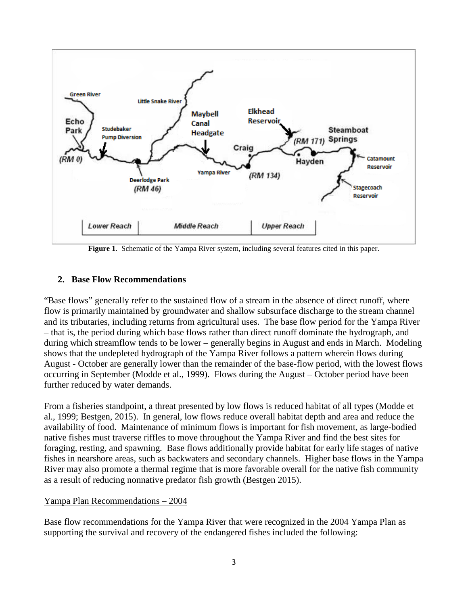

**Figure 1**. Schematic of the Yampa River system, including several features cited in this paper.

### **2. Base Flow Recommendations**

"Base flows" generally refer to the sustained flow of a stream in the absence of direct runoff, where flow is primarily maintained by groundwater and shallow subsurface discharge to the stream channel and its tributaries, including returns from agricultural uses. The base flow period for the Yampa River – that is, the period during which base flows rather than direct runoff dominate the hydrograph, and during which streamflow tends to be lower – generally begins in August and ends in March. Modeling shows that the undepleted hydrograph of the Yampa River follows a pattern wherein flows during August - October are generally lower than the remainder of the base-flow period, with the lowest flows occurring in September (Modde et al., 1999). Flows during the August – October period have been further reduced by water demands.

From a fisheries standpoint, a threat presented by low flows is reduced habitat of all types (Modde et al., 1999; Bestgen, 2015). In general, low flows reduce overall habitat depth and area and reduce the availability of food. Maintenance of minimum flows is important for fish movement, as large-bodied native fishes must traverse riffles to move throughout the Yampa River and find the best sites for foraging, resting, and spawning. Base flows additionally provide habitat for early life stages of native fishes in nearshore areas, such as backwaters and secondary channels. Higher base flows in the Yampa River may also promote a thermal regime that is more favorable overall for the native fish community as a result of reducing nonnative predator fish growth (Bestgen 2015).

#### Yampa Plan Recommendations – 2004

Base flow recommendations for the Yampa River that were recognized in the 2004 Yampa Plan as supporting the survival and recovery of the endangered fishes included the following: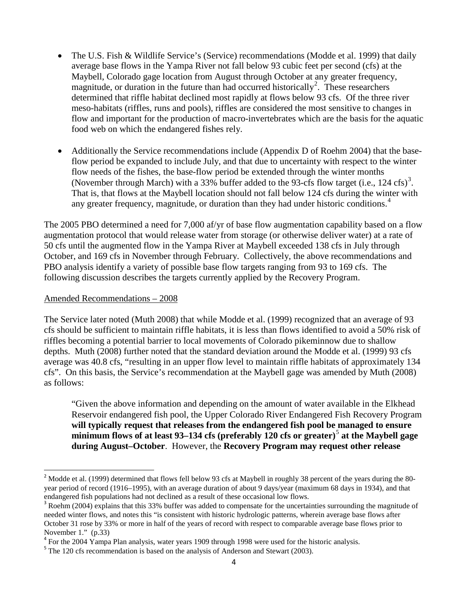- The U.S. Fish & Wildlife Service's (Service) recommendations (Modde et al. 1999) that daily average base flows in the Yampa River not fall below 93 cubic feet per second (cfs) at the Maybell, Colorado gage location from August through October at any greater frequency, magnitude, or duration in the future than had occurred historically<sup>[2](#page-3-0)</sup>. These researchers determined that riffle habitat declined most rapidly at flows below 93 cfs. Of the three river meso-habitats (riffles, runs and pools), riffles are considered the most sensitive to changes in flow and important for the production of macro-invertebrates which are the basis for the aquatic food web on which the endangered fishes rely.
- Additionally the Service recommendations include (Appendix D of Roehm 2004) that the baseflow period be expanded to include July, and that due to uncertainty with respect to the winter flow needs of the fishes, the base-flow period be extended through the winter months (November through March) with a [3](#page-3-1)3% buffer added to the 93-cfs flow target (i.e., 124 cfs)<sup>3</sup>. That is, that flows at the Maybell location should not fall below 124 cfs during the winter with any greater frequency, magnitude, or duration than they had under historic conditions.<sup>[4](#page-3-2)</sup>

The 2005 PBO determined a need for 7,000 af/yr of base flow augmentation capability based on a flow augmentation protocol that would release water from storage (or otherwise deliver water) at a rate of 50 cfs until the augmented flow in the Yampa River at Maybell exceeded 138 cfs in July through October, and 169 cfs in November through February. Collectively, the above recommendations and PBO analysis identify a variety of possible base flow targets ranging from 93 to 169 cfs. The following discussion describes the targets currently applied by the Recovery Program.

### Amended Recommendations – 2008

The Service later noted (Muth 2008) that while Modde et al. (1999) recognized that an average of 93 cfs should be sufficient to maintain riffle habitats, it is less than flows identified to avoid a 50% risk of riffles becoming a potential barrier to local movements of Colorado pikeminnow due to shallow depths. Muth (2008) further noted that the standard deviation around the Modde et al. (1999) 93 cfs average was 40.8 cfs, "resulting in an upper flow level to maintain riffle habitats of approximately 134 cfs". On this basis, the Service's recommendation at the Maybell gage was amended by Muth (2008) as follows:

"Given the above information and depending on the amount of water available in the Elkhead Reservoir endangered fish pool, the Upper Colorado River Endangered Fish Recovery Program **will typically request that releases from the endangered fish pool be managed to ensure minimum flows of at least 93–134 cfs (preferably 120 cfs or greater)**[5](#page-3-3) **at the Maybell gage during August–October**. However, the **Recovery Program may request other release** 

<span id="page-3-0"></span> $2$  Modde et al. (1999) determined that flows fell below 93 cfs at Maybell in roughly 38 percent of the years during the 80year period of record (1916–1995), with an average duration of about 9 days/year (maximum 68 days in 1934), and that endangered fish populations had not declined as a result of these occasional low flows.

<span id="page-3-1"></span><sup>&</sup>lt;sup>3</sup> Roehm (2004) explains that this 33% buffer was added to compensate for the uncertainties surrounding the magnitude of needed winter flows, and notes this "is consistent with historic hydrologic patterns, wherein average base flows after October 31 rose by 33% or more in half of the years of record with respect to comparable average base flows prior to November 1." (p.33)

<span id="page-3-2"></span> $^{4}$  For the 2004 Yampa Plan analysis, water years 1909 through 1998 were used for the historic analysis.  $^{5}$  The 120 cfs recommendation is based on the analysis of Anderson and Stewart (2003).

<span id="page-3-3"></span>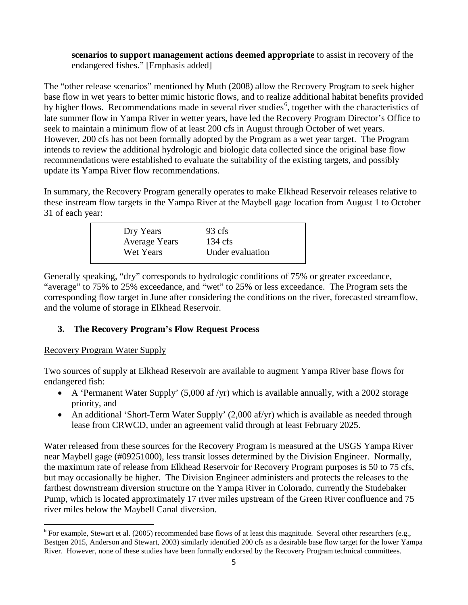#### **scenarios to support management actions deemed appropriate** to assist in recovery of the endangered fishes." [Emphasis added]

The "other release scenarios" mentioned by Muth (2008) allow the Recovery Program to seek higher base flow in wet years to better mimic historic flows, and to realize additional habitat benefits provided by higher flows. Recommendations made in several river studies<sup>[6](#page-4-0)</sup>, together with the characteristics of late summer flow in Yampa River in wetter years, have led the Recovery Program Director's Office to seek to maintain a minimum flow of at least 200 cfs in August through October of wet years. However, 200 cfs has not been formally adopted by the Program as a wet year target. The Program intends to review the additional hydrologic and biologic data collected since the original base flow recommendations were established to evaluate the suitability of the existing targets, and possibly update its Yampa River flow recommendations.

In summary, the Recovery Program generally operates to make Elkhead Reservoir releases relative to these instream flow targets in the Yampa River at the Maybell gage location from August 1 to October 31 of each year:

| Dry Years            | 93 cfs            |
|----------------------|-------------------|
| <b>Average Years</b> | $134 \text{ cfs}$ |
| Wet Years            | Under evaluation  |
|                      |                   |

Generally speaking, "dry" corresponds to hydrologic conditions of 75% or greater exceedance, "average" to 75% to 25% exceedance, and "wet" to 25% or less exceedance. The Program sets the corresponding flow target in June after considering the conditions on the river, forecasted streamflow, and the volume of storage in Elkhead Reservoir.

# **3. The Recovery Program's Flow Request Process**

### Recovery Program Water Supply

Two sources of supply at Elkhead Reservoir are available to augment Yampa River base flows for endangered fish:

- A 'Permanent Water Supply' (5,000 af /yr) which is available annually, with a 2002 storage priority, and
- An additional 'Short-Term Water Supply' (2,000 af/yr) which is available as needed through lease from CRWCD, under an agreement valid through at least February 2025.

Water released from these sources for the Recovery Program is measured at the USGS Yampa River near Maybell gage (#09251000), less transit losses determined by the Division Engineer. Normally, the maximum rate of release from Elkhead Reservoir for Recovery Program purposes is 50 to 75 cfs, but may occasionally be higher. The Division Engineer administers and protects the releases to the farthest downstream diversion structure on the Yampa River in Colorado, currently the Studebaker Pump, which is located approximately 17 river miles upstream of the Green River confluence and 75 river miles below the Maybell Canal diversion.

<span id="page-4-0"></span><sup>&</sup>lt;sup>6</sup> For example, Stewart et al. (2005) recommended base flows of at least this magnitude. Several other researchers (e.g., Bestgen 2015, Anderson and Stewart, 2003) similarly identified 200 cfs as a desirable base flow target for the lower Yampa River. However, none of these studies have been formally endorsed by the Recovery Program technical committees.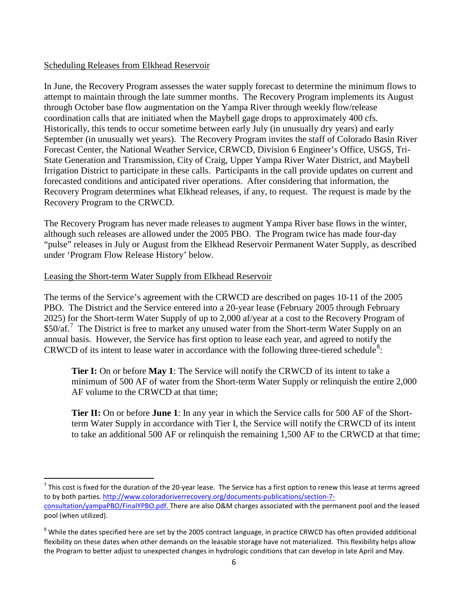#### Scheduling Releases from Elkhead Reservoir

In June, the Recovery Program assesses the water supply forecast to determine the minimum flows to attempt to maintain through the late summer months. The Recovery Program implements its August through October base flow augmentation on the Yampa River through weekly flow/release coordination calls that are initiated when the Maybell gage drops to approximately 400 cfs. Historically, this tends to occur sometime between early July (in unusually dry years) and early September (in unusually wet years). The Recovery Program invites the staff of Colorado Basin River Forecast Center, the National Weather Service, CRWCD, Division 6 Engineer's Office, USGS, Tri-State Generation and Transmission, City of Craig, Upper Yampa River Water District, and Maybell Irrigation District to participate in these calls. Participants in the call provide updates on current and forecasted conditions and anticipated river operations. After considering that information, the Recovery Program determines what Elkhead releases, if any, to request. The request is made by the Recovery Program to the CRWCD.

The Recovery Program has never made releases to augment Yampa River base flows in the winter, although such releases are allowed under the 2005 PBO. The Program twice has made four-day "pulse" releases in July or August from the Elkhead Reservoir Permanent Water Supply, as described under 'Program Flow Release History' below.

### Leasing the Short-term Water Supply from Elkhead Reservoir

The terms of the Service's agreement with the CRWCD are described on pages 10-11 of the 2005 PBO. The District and the Service entered into a 20-year lease (February 2005 through February 2025) for the Short-term Water Supply of up to 2,000 af/year at a cost to the Recovery Program of \$50/af.<sup>[7](#page-5-0)</sup> The District is free to market any unused water from the Short-term Water Supply on an annual basis. However, the Service has first option to lease each year, and agreed to notify the CRWCD of its intent to lease water in accordance with the following three-tiered schedule<sup>[8](#page-5-1)</sup>:

**Tier I:** On or before **May 1**: The Service will notify the CRWCD of its intent to take a minimum of 500 AF of water from the Short-term Water Supply or relinquish the entire 2,000 AF volume to the CRWCD at that time;

**Tier II:** On or before **June 1**: In any year in which the Service calls for 500 AF of the Shortterm Water Supply in accordance with Tier I, the Service will notify the CRWCD of its intent to take an additional 500 AF or relinquish the remaining 1,500 AF to the CRWCD at that time;

<span id="page-5-0"></span> $7$  This cost is fixed for the duration of the 20-year lease. The Service has a first option to renew this lease at terms agreed to by both parties. [http://www.coloradoriverrecovery.org/documents-publications/section-7](http://www.coloradoriverrecovery.org/documents-publications/section-7-consultation/yampaPBO/FinalYPBO.pdf) [consultation/yampaPBO/FinalYPBO.pdf.](http://www.coloradoriverrecovery.org/documents-publications/section-7-consultation/yampaPBO/FinalYPBO.pdf) There are also O&M charges associated with the permanent pool and the leased pool (when utilized).

<span id="page-5-1"></span><sup>&</sup>lt;sup>8</sup> While the dates specified here are set by the 2005 contract language, in practice CRWCD has often provided additional flexibility on these dates when other demands on the leasable storage have not materialized. This flexibility helps allow the Program to better adjust to unexpected changes in hydrologic conditions that can develop in late April and May.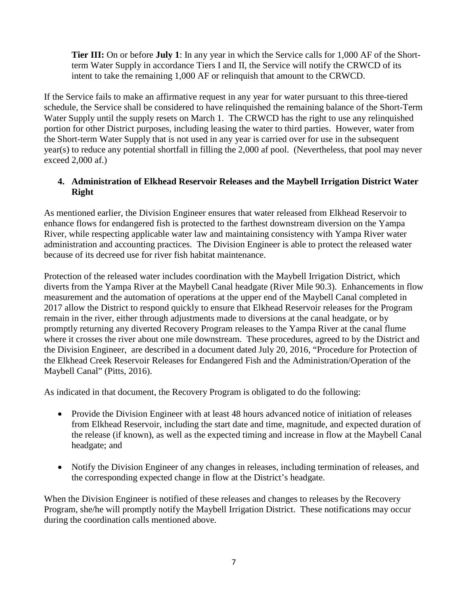**Tier III:** On or before **July 1**: In any year in which the Service calls for 1,000 AF of the Shortterm Water Supply in accordance Tiers I and II, the Service will notify the CRWCD of its intent to take the remaining 1,000 AF or relinquish that amount to the CRWCD.

If the Service fails to make an affirmative request in any year for water pursuant to this three-tiered schedule, the Service shall be considered to have relinquished the remaining balance of the Short-Term Water Supply until the supply resets on March 1. The CRWCD has the right to use any relinquished portion for other District purposes, including leasing the water to third parties. However, water from the Short-term Water Supply that is not used in any year is carried over for use in the subsequent year(s) to reduce any potential shortfall in filling the 2,000 af pool. (Nevertheless, that pool may never exceed 2,000 af.)

### **4. Administration of Elkhead Reservoir Releases and the Maybell Irrigation District Water Right**

As mentioned earlier, the Division Engineer ensures that water released from Elkhead Reservoir to enhance flows for endangered fish is protected to the farthest downstream diversion on the Yampa River, while respecting applicable water law and maintaining consistency with Yampa River water administration and accounting practices. The Division Engineer is able to protect the released water because of its decreed use for river fish habitat maintenance.

Protection of the released water includes coordination with the Maybell Irrigation District, which diverts from the Yampa River at the Maybell Canal headgate (River Mile 90.3). Enhancements in flow measurement and the automation of operations at the upper end of the Maybell Canal completed in 2017 allow the District to respond quickly to ensure that Elkhead Reservoir releases for the Program remain in the river, either through adjustments made to diversions at the canal headgate, or by promptly returning any diverted Recovery Program releases to the Yampa River at the canal flume where it crosses the river about one mile downstream. These procedures, agreed to by the District and the Division Engineer, are described in a document dated July 20, 2016, "Procedure for Protection of the Elkhead Creek Reservoir Releases for Endangered Fish and the Administration/Operation of the Maybell Canal" (Pitts, 2016).

As indicated in that document, the Recovery Program is obligated to do the following:

- Provide the Division Engineer with at least 48 hours advanced notice of initiation of releases from Elkhead Reservoir, including the start date and time, magnitude, and expected duration of the release (if known), as well as the expected timing and increase in flow at the Maybell Canal headgate; and
- Notify the Division Engineer of any changes in releases, including termination of releases, and the corresponding expected change in flow at the District's headgate.

When the Division Engineer is notified of these releases and changes to releases by the Recovery Program, she/he will promptly notify the Maybell Irrigation District. These notifications may occur during the coordination calls mentioned above.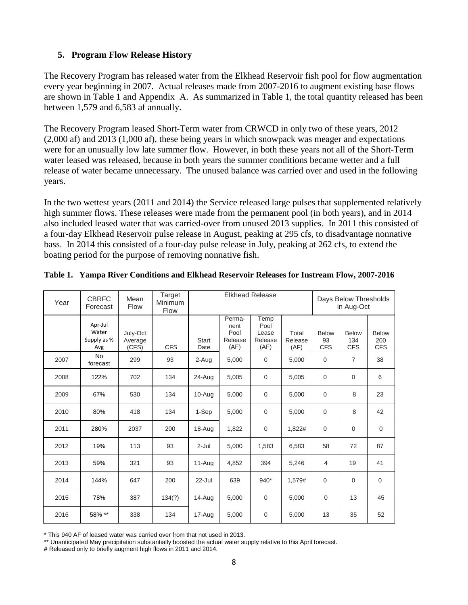### **5. Program Flow Release History**

The Recovery Program has released water from the Elkhead Reservoir fish pool for flow augmentation every year beginning in 2007. Actual releases made from 2007-2016 to augment existing base flows are shown in Table 1 and Appendix A. As summarized in Table 1, the total quantity released has been between 1,579 and 6,583 af annually.

The Recovery Program leased Short-Term water from CRWCD in only two of these years, 2012 (2,000 af) and 2013 (1,000 af), these being years in which snowpack was meager and expectations were for an unusually low late summer flow. However, in both these years not all of the Short-Term water leased was released, because in both years the summer conditions became wetter and a full release of water became unnecessary. The unused balance was carried over and used in the following years.

In the two wettest years (2011 and 2014) the Service released large pulses that supplemented relatively high summer flows. These releases were made from the permanent pool (in both years), and in 2014 also included leased water that was carried-over from unused 2013 supplies. In 2011 this consisted of a four-day Elkhead Reservoir pulse release in August, peaking at 295 cfs, to disadvantage nonnative bass. In 2014 this consisted of a four-day pulse release in July, peaking at 262 cfs, to extend the boating period for the purpose of removing nonnative fish.

| Year | <b>CBRFC</b><br>Forecast               | Mean<br><b>Flow</b>          | Target<br>Minimum<br><b>Flow</b> | <b>Elkhead Release</b> |                                           |                                          |                          | Days Below Thresholds<br>in Aug-Oct |                                   |                            |
|------|----------------------------------------|------------------------------|----------------------------------|------------------------|-------------------------------------------|------------------------------------------|--------------------------|-------------------------------------|-----------------------------------|----------------------------|
|      | Apr-Jul<br>Water<br>Supply as %<br>Avg | July-Oct<br>Average<br>(CFS) | <b>CFS</b>                       | Start<br>Date          | Perma-<br>nent<br>Pool<br>Release<br>(AF) | Temp<br>Pool<br>Lease<br>Release<br>(AF) | Total<br>Release<br>(AF) | <b>Below</b><br>93<br><b>CFS</b>    | <b>Below</b><br>134<br><b>CFS</b> | Below<br>200<br><b>CFS</b> |
| 2007 | <b>No</b><br>forecast                  | 299                          | 93                               | 2-Aug                  | 5,000                                     | $\mathbf 0$                              | 5,000                    | $\mathbf 0$                         | $\overline{7}$                    | 38                         |
| 2008 | 122%                                   | 702                          | 134                              | 24-Aug                 | 5,005                                     | $\mathbf 0$                              | 5,005                    | $\mathbf 0$                         | $\mathbf 0$                       | 6                          |
| 2009 | 67%                                    | 530                          | 134                              | $10 - Aug$             | 5,000                                     | $\mathbf 0$                              | 5,000                    | $\mathbf 0$                         | 8                                 | 23                         |
| 2010 | 80%                                    | 418                          | 134                              | 1-Sep                  | 5,000                                     | $\mathbf 0$                              | 5,000                    | $\mathbf 0$                         | 8                                 | 42                         |
| 2011 | 280%                                   | 2037                         | 200                              | 18-Aug                 | 1,822                                     | $\mathbf 0$                              | 1,822#                   | $\mathbf 0$                         | $\mathbf 0$                       | $\mathbf 0$                |
| 2012 | 19%                                    | 113                          | 93                               | $2 -$ Jul              | 5,000                                     | 1,583                                    | 6,583                    | 58                                  | 72                                | 87                         |
| 2013 | 59%                                    | 321                          | 93                               | 11-Aug                 | 4,852                                     | 394                                      | 5,246                    | 4                                   | 19                                | 41                         |
| 2014 | 144%                                   | 647                          | 200                              | 22-Jul                 | 639                                       | 940*                                     | 1,579#                   | $\Omega$                            | $\Omega$                          | $\mathbf 0$                |
| 2015 | 78%                                    | 387                          | 134(?)                           | 14-Aug                 | 5,000                                     | $\mathbf 0$                              | 5,000                    | 0                                   | 13                                | 45                         |
| 2016 | 58% **                                 | 338                          | 134                              | 17-Aug                 | 5,000                                     | 0                                        | 5,000                    | 13                                  | 35                                | 52                         |

**Table 1. Yampa River Conditions and Elkhead Reservoir Releases for Instream Flow, 2007-2016**

\* This 940 AF of leased water was carried over from that not used in 2013.

\*\* Unanticipated May precipitation substantially boosted the actual water supply relative to this April forecast.

# Released only to briefly augment high flows in 2011 and 2014.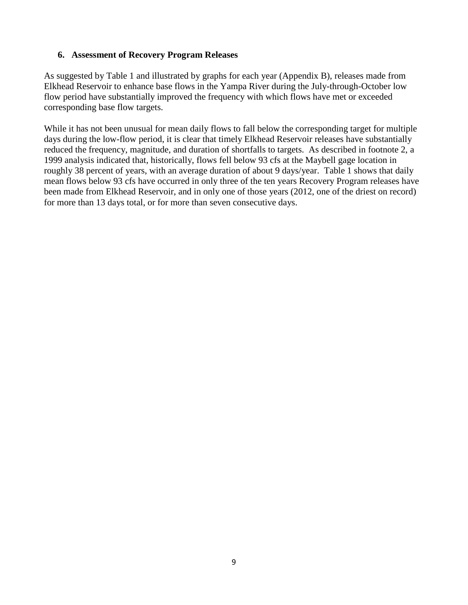### **6. Assessment of Recovery Program Releases**

As suggested by Table 1 and illustrated by graphs for each year (Appendix B), releases made from Elkhead Reservoir to enhance base flows in the Yampa River during the July-through-October low flow period have substantially improved the frequency with which flows have met or exceeded corresponding base flow targets.

While it has not been unusual for mean daily flows to fall below the corresponding target for multiple days during the low-flow period, it is clear that timely Elkhead Reservoir releases have substantially reduced the frequency, magnitude, and duration of shortfalls to targets. As described in footnote 2, a 1999 analysis indicated that, historically, flows fell below 93 cfs at the Maybell gage location in roughly 38 percent of years, with an average duration of about 9 days/year. Table 1 shows that daily mean flows below 93 cfs have occurred in only three of the ten years Recovery Program releases have been made from Elkhead Reservoir, and in only one of those years (2012, one of the driest on record) for more than 13 days total, or for more than seven consecutive days.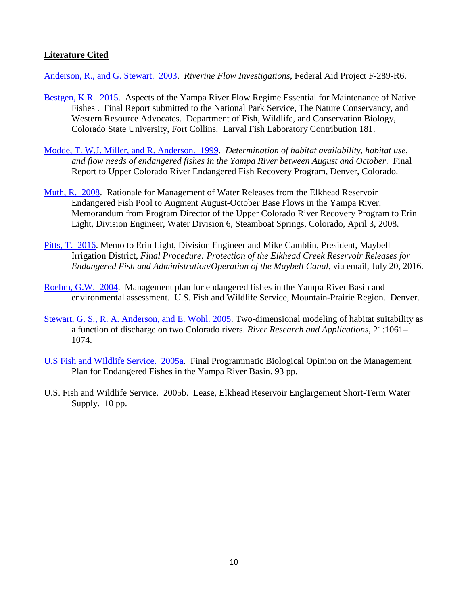### **Literature Cited**

[Anderson, R., and G. Stewart. 2003.](http://www.coloradoriverrecovery.org/documents-publications/technical-reports/isf/Anderson.pdf) *Riverine Flow Investigations*, Federal Aid Project F-289-R6.

- [Bestgen, K.R. 2015.](http://www.coloradoriverdistrict.org/wp-content/uploads/2015/06/Yampa-River-Flow-Regime-for-Native-Fishes.pdf) Aspects of the Yampa River Flow Regime Essential for Maintenance of Native Fishes . Final Report submitted to the National Park Service, The Nature Conservancy, and Western Resource Advocates. Department of Fish, Wildlife, and Conservation Biology, Colorado State University, Fort Collins. Larval Fish Laboratory Contribution 181.
- [Modde, T. W.J. Miller, and R. Anderson. 1999.](http://www.coloradoriverrecovery.org/documents-publications/technical-reports/hab/moddeetal1999.pdf) *Determination of habitat availability, habitat use, and flow needs of endangered fishes in the Yampa River between August and October*. Final Report to Upper Colorado River Endangered Fish Recovery Program, Denver, Colorado.
- [Muth, R. 2008.](http://www.coloradoriverrecovery.org/documents-publications/technical-reports/isf/YampaMaybellFlowaddendum.pdf) Rationale for Management of Water Releases from the Elkhead Reservoir Endangered Fish Pool to Augment August-October Base Flows in the Yampa River. Memorandum from Program Director of the Upper Colorado River Recovery Program to Erin Light, Division Engineer, Water Division 6, Steamboat Springs, Colorado, April 3, 2008.
- [Pitts, T. 2016.](http://www.coloradoriverrecovery.org/documents-publications/section-7-consultation/yampaPBO/ElkheadCreekProc.pdf) Memo to Erin Light, Division Engineer and Mike Camblin, President, Maybell Irrigation District, *Final Procedure: Protection of the Elkhead Creek Reservoir Releases for Endangered Fish and Administration/Operation of the Maybell Canal*, via email, July 20, 2016.
- [Roehm, G.W. 2004.](http://www.coloradoriverrecovery.org/documents-publications/technical-reports/isf/yampa/YampaPlan.pdf) Management plan for endangered fishes in the Yampa River Basin and environmental assessment. U.S. Fish and Wildlife Service, Mountain-Prairie Region. Denver.
- [Stewart, G. S., R. A. Anderson, and E. Wohl. 2005.](http://onlinelibrary.wiley.com/doi/10.1002/rra.868/epdf) Two-dimensional modeling of habitat suitability as a function of discharge on two Colorado rivers. *River Research and Applications*, 21:1061– 1074.
- [U.S Fish and Wildlife Service. 2005a.](http://www.coloradoriverrecovery.org/documents-publications/section-7-consultation/yampaPBO/FinalYPBO.pdf) Final Programmatic Biological Opinion on the Management Plan for Endangered Fishes in the Yampa River Basin. 93 pp.
- U.S. Fish and Wildlife Service. 2005b. Lease, Elkhead Reservoir Englargement Short-Term Water Supply. 10 pp.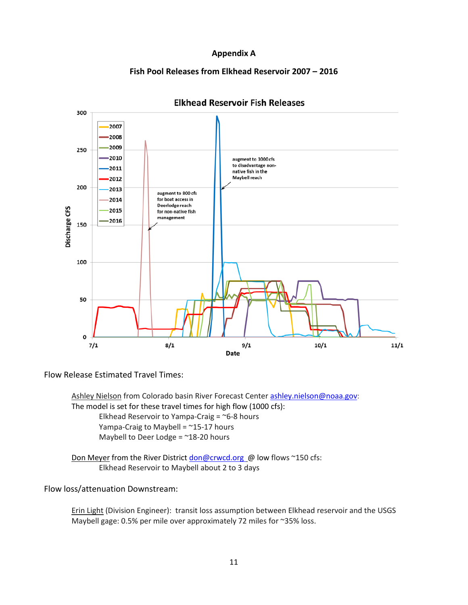#### **Appendix A**

#### **Fish Pool Releases from Elkhead Reservoir 2007 – 2016**



### **Elkhead Reservoir Fish Releases**

Flow Release Estimated Travel Times:

Ashley Nielson from Colorado basin River Forecast Center [ashley.nielson@noaa.gov:](mailto:ashley.nielson@noaa.gov) The model is set for these travel times for high flow (1000 cfs): Elkhead Reservoir to Yampa-Craig =  $\approx$  6-8 hours Yampa-Craig to Maybell = ~15-17 hours Maybell to Deer Lodge = ~18-20 hours

Don Meyer from the River District don@crwcd.org @ low flows ~150 cfs: Elkhead Reservoir to Maybell about 2 to 3 days

Flow loss/attenuation Downstream:

Erin Light (Division Engineer): transit loss assumption between Elkhead reservoir and the USGS Maybell gage: 0.5% per mile over approximately 72 miles for ~35% loss.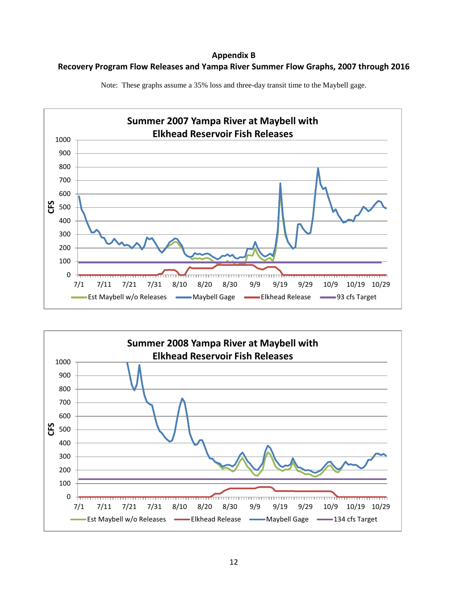**Appendix B Recovery Program Flow Releases and Yampa River Summer Flow Graphs, 2007 through 2016**



Note: These graphs assume a 35% loss and three-day transit time to the Maybell gage.

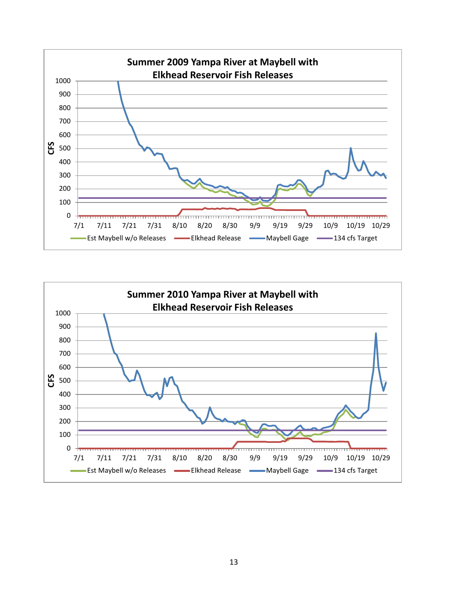

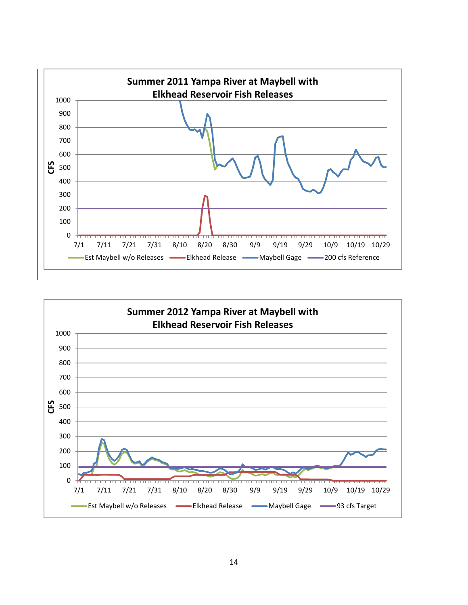

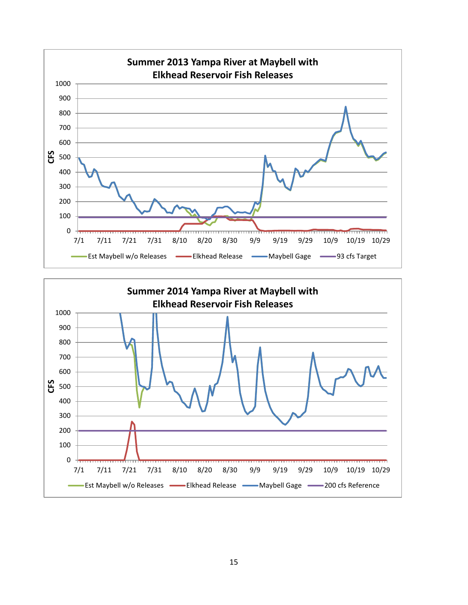